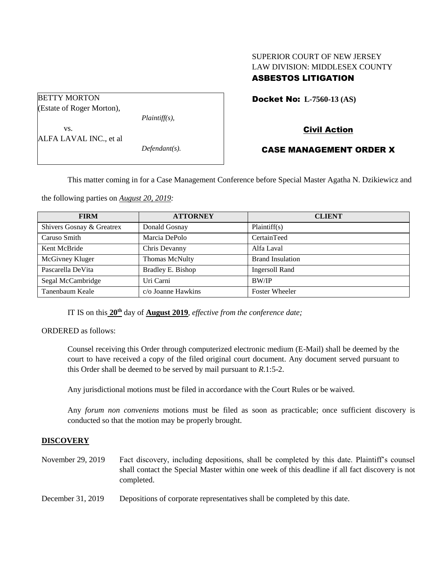## SUPERIOR COURT OF NEW JERSEY LAW DIVISION: MIDDLESEX COUNTY ASBESTOS LITIGATION

| <b>BETTY MORTON</b>       |                  |
|---------------------------|------------------|
| (Estate of Roger Morton), |                  |
|                           | $Plaintiff(s)$ , |
| VS.                       |                  |
| ALFA LAVAL INC., et al    |                  |
|                           | $Defendant(s)$ . |
|                           |                  |

## Docket No: **L-7560-13 (AS)**

# Civil Action

## CASE MANAGEMENT ORDER X

This matter coming in for a Case Management Conference before Special Master Agatha N. Dzikiewicz and

the following parties on *August 20, 2019:*

| <b>FIRM</b>               | <b>ATTORNEY</b>    | <b>CLIENT</b>           |
|---------------------------|--------------------|-------------------------|
| Shivers Gosnay & Greatrex | Donald Gosnay      | Plaintiff(s)            |
| Caruso Smith              | Marcia DePolo      | CertainTeed             |
| Kent McBride              | Chris Devanny      | Alfa Laval              |
| McGivney Kluger           | Thomas McNulty     | <b>Brand Insulation</b> |
| Pascarella DeVita         | Bradley E. Bishop  | <b>Ingersoll Rand</b>   |
| Segal McCambridge         | Uri Carni          | <b>BW/IP</b>            |
| Tanenbaum Keale           | c/o Joanne Hawkins | <b>Foster Wheeler</b>   |

IT IS on this  $20^{\text{th}}$  day of **August** 2019, *effective from the conference date*;

ORDERED as follows:

Counsel receiving this Order through computerized electronic medium (E-Mail) shall be deemed by the court to have received a copy of the filed original court document. Any document served pursuant to this Order shall be deemed to be served by mail pursuant to *R*.1:5-2.

Any jurisdictional motions must be filed in accordance with the Court Rules or be waived.

Any *forum non conveniens* motions must be filed as soon as practicable; once sufficient discovery is conducted so that the motion may be properly brought.

## **DISCOVERY**

November 29, 2019 Fact discovery, including depositions, shall be completed by this date. Plaintiff's counsel shall contact the Special Master within one week of this deadline if all fact discovery is not completed.

December 31, 2019 Depositions of corporate representatives shall be completed by this date.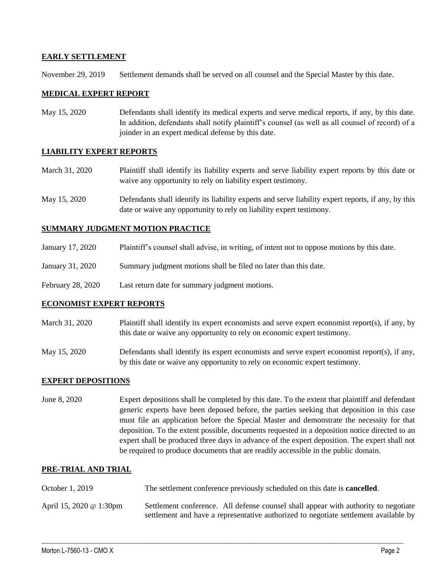### **EARLY SETTLEMENT**

November 29, 2019 Settlement demands shall be served on all counsel and the Special Master by this date.

#### **MEDICAL EXPERT REPORT**

May 15, 2020 Defendants shall identify its medical experts and serve medical reports, if any, by this date. In addition, defendants shall notify plaintiff's counsel (as well as all counsel of record) of a joinder in an expert medical defense by this date.

#### **LIABILITY EXPERT REPORTS**

- March 31, 2020 Plaintiff shall identify its liability experts and serve liability expert reports by this date or waive any opportunity to rely on liability expert testimony.
- May 15, 2020 Defendants shall identify its liability experts and serve liability expert reports, if any, by this date or waive any opportunity to rely on liability expert testimony.

### **SUMMARY JUDGMENT MOTION PRACTICE**

- January 17, 2020 Plaintiff's counsel shall advise, in writing, of intent not to oppose motions by this date.
- January 31, 2020 Summary judgment motions shall be filed no later than this date.
- February 28, 2020 Last return date for summary judgment motions.

#### **ECONOMIST EXPERT REPORTS**

- March 31, 2020 Plaintiff shall identify its expert economists and serve expert economist report(s), if any, by this date or waive any opportunity to rely on economic expert testimony.
- May 15, 2020 Defendants shall identify its expert economists and serve expert economist report(s), if any, by this date or waive any opportunity to rely on economic expert testimony.

#### **EXPERT DEPOSITIONS**

June 8, 2020 Expert depositions shall be completed by this date. To the extent that plaintiff and defendant generic experts have been deposed before, the parties seeking that deposition in this case must file an application before the Special Master and demonstrate the necessity for that deposition. To the extent possible, documents requested in a deposition notice directed to an expert shall be produced three days in advance of the expert deposition. The expert shall not be required to produce documents that are readily accessible in the public domain.

#### **PRE-TRIAL AND TRIAL**

- October 1, 2019 The settlement conference previously scheduled on this date is **cancelled**.
- April 15, 2020 @ 1:30pm Settlement conference. All defense counsel shall appear with authority to negotiate settlement and have a representative authorized to negotiate settlement available by

 $\_$  , and the set of the set of the set of the set of the set of the set of the set of the set of the set of the set of the set of the set of the set of the set of the set of the set of the set of the set of the set of th